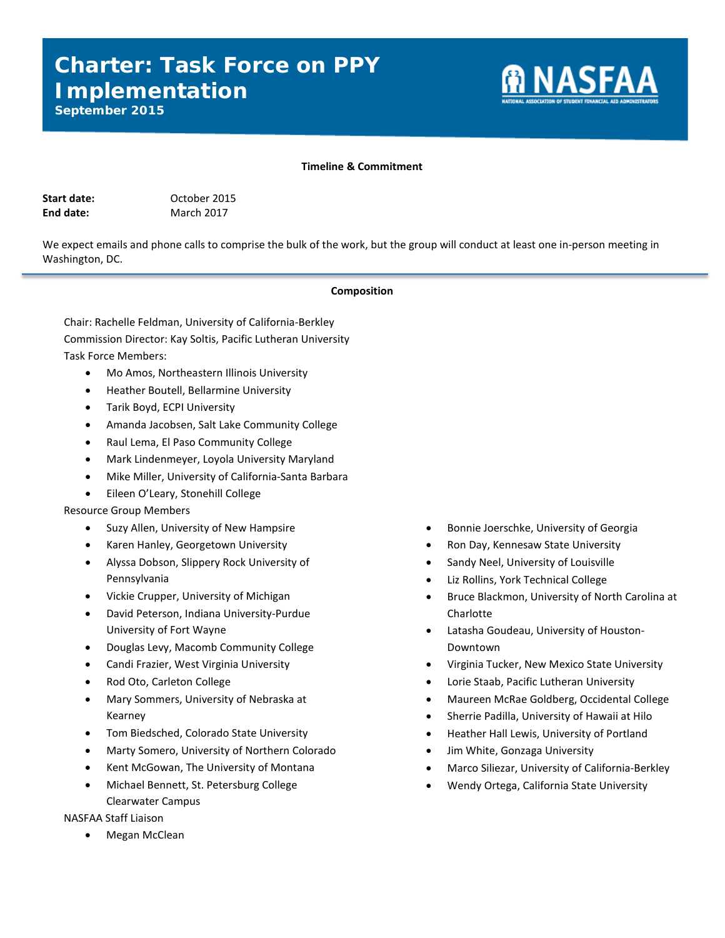# **Charter: Task Force on PPY Implementation**



*September 2015*

## **Timeline & Commitment**

| Start date: |  |
|-------------|--|
| End date:   |  |

**Start date:** October 2015 **March 2017** 

We expect emails and phone calls to comprise the bulk of the work, but the group will conduct at least one in-person meeting in Washington, DC.

#### **Composition**

Chair: Rachelle Feldman, University of California-Berkley Commission Director: Kay Soltis, Pacific Lutheran University Task Force Members:

- Mo Amos, Northeastern Illinois University
- Heather Boutell, Bellarmine University
- Tarik Boyd, ECPI University
- Amanda Jacobsen, Salt Lake Community College
- Raul Lema, El Paso Community College
- Mark Lindenmeyer, Loyola University Maryland
- Mike Miller, University of California-Santa Barbara
- Eileen O'Leary, Stonehill College

Resource Group Members

- Suzy Allen, University of New Hampsire
- Karen Hanley, Georgetown University
- Alyssa Dobson, Slippery Rock University of Pennsylvania
- Vickie Crupper, University of Michigan
- David Peterson, Indiana University-Purdue University of Fort Wayne
- Douglas Levy, Macomb Community College
- Candi Frazier, West Virginia University
- Rod Oto, Carleton College
- Mary Sommers, University of Nebraska at Kearney
- Tom Biedsched, Colorado State University
- Marty Somero, University of Northern Colorado
- Kent McGowan, The University of Montana
- Michael Bennett, St. Petersburg College Clearwater Campus

NASFAA Staff Liaison

• Megan McClean

- Bonnie Joerschke, University of Georgia
- Ron Day, Kennesaw State University
- Sandy Neel, University of Louisville
- Liz Rollins, York Technical College
- Bruce Blackmon, University of North Carolina at Charlotte
- Latasha Goudeau, University of Houston-Downtown
- Virginia Tucker, New Mexico State University
- Lorie Staab, Pacific Lutheran University
- Maureen McRae Goldberg, Occidental College
- Sherrie Padilla, University of Hawaii at Hilo
- Heather Hall Lewis, University of Portland
- Jim White, Gonzaga University
- Marco Siliezar, University of California-Berkley
- Wendy Ortega, California State University